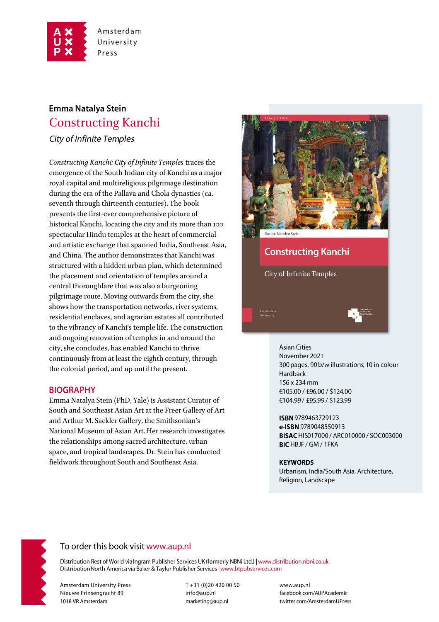

# Emma Natalya Stein **Constructing Kanchi**

**City of Infinite Temples** 

Constructing Kanchi: City of Infinite Temples traces the emergence of the South Indian city of Kanchi as a major royal capital and multireligious pilgrimage destination during the era of the Pallava and Chola dynasties (ca. seventh through thirteenth centuries). The book presents the first-ever comprehensive picture of historical Kanchi, locating the city and its more than 100 spectacular Hindu temples at the heart of commercial and artistic exchange that spanned India, Southeast Asia, and China. The author demonstrates that Kanchi was structured with a hidden urban plan, which determined the placement and orientation of temples around a central thoroughfare that was also a burgeoning pilgrimage route. Moving outwards from the city, she shows how the transportation networks, river systems, residential enclaves, and agrarian estates all contributed to the vibrancy of Kanchi's temple life. The construction and ongoing renovation of temples in and around the city, she concludes, has enabled Kanchi to thrive continuously from at least the eighth century, through the colonial period, and up until the present.

### **BIOGRAPHY**

Emma Natalya Stein (PhD, Yale) is Assistant Curator of South and Southeast Asian Art at the Freer Gallery of Art and Arthur M. Sackler Gallery, the Smithsonian's National Museum of Asian Art. Her research investigates the relationships among sacred architecture, urban space, and tropical landscapes. Dr. Stein has conducted fieldwork throughout South and Southeast Asia.



# **Constructing Kanchi**

**City of Infinite Temples** 

#### **Asian Cities**

November 2021 300 pages, 90 b/w illustrations, 10 in colour Hardback 156 x 234 mm €105.00 / £96.00 / \$124.00 €104.99 / £95.99 / \$123.99

ISBN 9789463729123 e-ISBN 9789048550913 BISAC HIS017000 / ARC010000 / SOC003000 **BIC HBJF / GM / 1FKA** 

#### **KEYWORDS**

Urbanism, India/South Asia, Architecture, Religion, Landscape



# To order this book visit www.aup.nl

Distribution Rest of World via Ingram Publisher Services UK (formerly NBNi Ltd.) | www.distribution.nbni.co.uk Distribution North America via Baker & Taylor Publisher Services | www.btpubservices.com

**Amsterdam University Press** Nieuwe Prinsengracht 89 1018 VR Amsterdam

T+31 (0)20 420 00 50 info@aup.nl marketing@aup.nl

www.aup.nl facebook.com/AUPAcademic twitter.com/AmsterdamUPress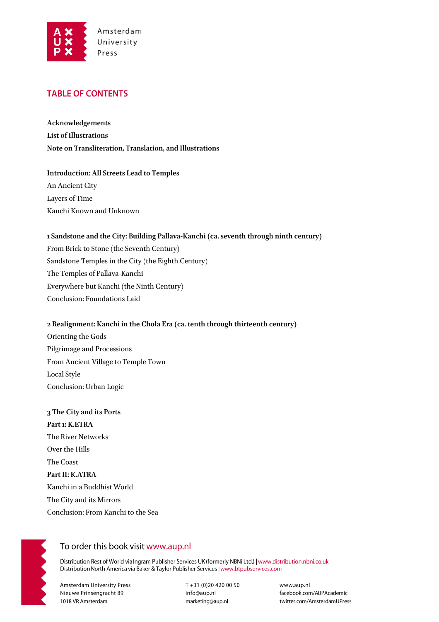

### **TABLE OF CONTENTS**

**Acknowledgements List of Illustrations Note on Transliteration, Translation, and Illustrations**

**Introduction: All Streets Lead to Temples** An Ancient City Layers of Time Kanchi Known and Unknown

#### **1 Sandstone and the City: Building Pallava-Kanchi (ca. seventh through ninth century)**

From Brick to Stone (the Seventh Century) Sandstone Temples in the City (the Eighth Century) The Temples of Pallava-Kanchi Everywhere but Kanchi (the Ninth Century) Conclusion: Foundations Laid

#### **2 Realignment: Kanchi in the Chola Era (ca. tenth through thirteenth century)**

Orienting the Gods Pilgrimage and Processions From Ancient Village to Temple Town Local Style Conclusion: Urban Logic

**3 The City and its Ports Part 1: K.ETRA** The River Networks Over the Hills The Coast **Part II: K.ATRA** Kanchi in a Buddhist World The City and its Mirrors Conclusion: From Kanchi to the Sea



### To order this book visit www.aup.nl

Distribution Rest of World via Ingram Publisher Services UK (formerly NBNi Ltd.) | www.distribution.nbni.co.uk Distribution North America via Baker & Taylor Publisher Services | www.btpubservices.com

**Amsterdam University Press** Nieuwe Prinsengracht 89 1018 VR Amsterdam

T+31 (0)20 420 00 50 info@aup.nl marketing@aup.nl

www.aup.nl facebook.com/AUPAcademic twitter.com/AmsterdamUPress